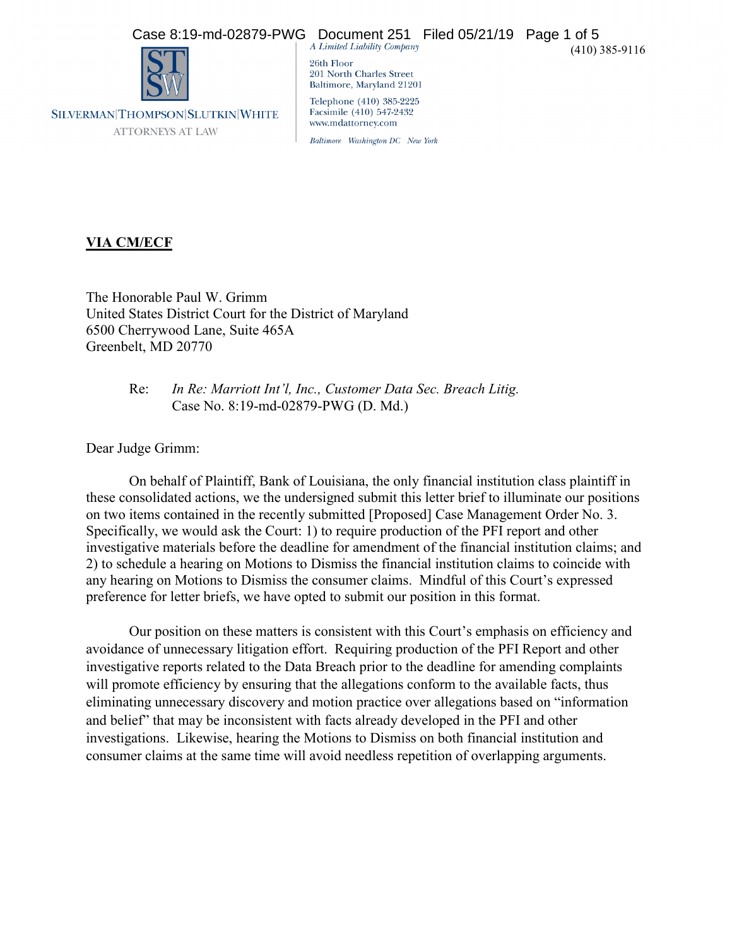# Case 8:19-md-02879-PWG Document 251 Filed 05/21/19 Page 1 of 5<br>  $\overline{AB}$  A Limited Liability Company



SILVERMAN|THOMPSON|SLUTKIN|WHITE **ATTORNEYS AT LAW** 

26th Floor 201 North Charles Street Baltimore, Maryland 21201 Telephone (410) 385-2225 Facsimile (410) 547-2432 www.mdattorney.com

Baltimore Washington DC New York

## **VIA CM/ECF**

The Honorable Paul W. Grimm United States District Court for the District of Maryland 6500 Cherrywood Lane, Suite 465A Greenbelt, MD 20770

> Re: *In Re: Marriott Int'l, Inc., Customer Data Sec. Breach Litig.* Case No. 8:19-md-02879-PWG (D. Md.)

Dear Judge Grimm:

On behalf of Plaintiff, Bank of Louisiana, the only financial institution class plaintiff in these consolidated actions, we the undersigned submit this letter brief to illuminate our positions on two items contained in the recently submitted [Proposed] Case Management Order No. 3. Specifically, we would ask the Court: 1) to require production of the PFI report and other investigative materials before the deadline for amendment of the financial institution claims; and 2) to schedule a hearing on Motions to Dismiss the financial institution claims to coincide with any hearing on Motions to Dismiss the consumer claims. Mindful of this Court's expressed preference for letter briefs, we have opted to submit our position in this format.

Our position on these matters is consistent with this Court's emphasis on efficiency and avoidance of unnecessary litigation effort. Requiring production of the PFI Report and other investigative reports related to the Data Breach prior to the deadline for amending complaints will promote efficiency by ensuring that the allegations conform to the available facts, thus eliminating unnecessary discovery and motion practice over allegations based on "information and belief" that may be inconsistent with facts already developed in the PFI and other investigations. Likewise, hearing the Motions to Dismiss on both financial institution and consumer claims at the same time will avoid needless repetition of overlapping arguments.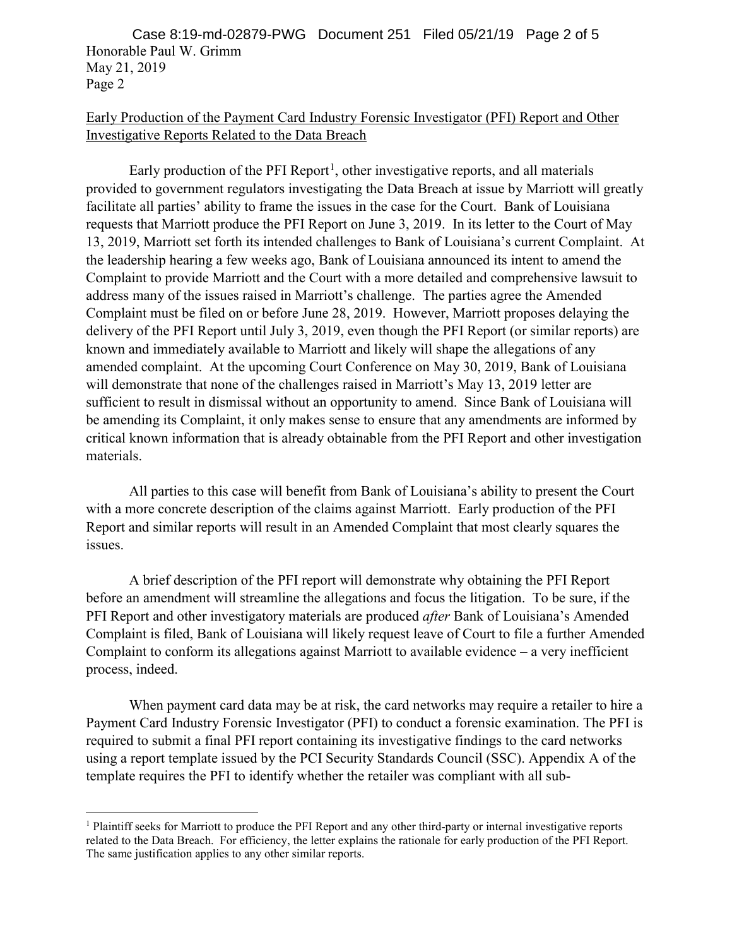Honorable Paul W. Grimm May 21, 2019 Page 2 Case 8:19-md-02879-PWG Document 251 Filed 05/21/19 Page 2 of 5

### Early Production of the Payment Card Industry Forensic Investigator (PFI) Report and Other Investigative Reports Related to the Data Breach

Early production of the PFI Report<sup>[1](#page-1-0)</sup>, other investigative reports, and all materials provided to government regulators investigating the Data Breach at issue by Marriott will greatly facilitate all parties' ability to frame the issues in the case for the Court. Bank of Louisiana requests that Marriott produce the PFI Report on June 3, 2019. In its letter to the Court of May 13, 2019, Marriott set forth its intended challenges to Bank of Louisiana's current Complaint. At the leadership hearing a few weeks ago, Bank of Louisiana announced its intent to amend the Complaint to provide Marriott and the Court with a more detailed and comprehensive lawsuit to address many of the issues raised in Marriott's challenge. The parties agree the Amended Complaint must be filed on or before June 28, 2019. However, Marriott proposes delaying the delivery of the PFI Report until July 3, 2019, even though the PFI Report (or similar reports) are known and immediately available to Marriott and likely will shape the allegations of any amended complaint. At the upcoming Court Conference on May 30, 2019, Bank of Louisiana will demonstrate that none of the challenges raised in Marriott's May 13, 2019 letter are sufficient to result in dismissal without an opportunity to amend. Since Bank of Louisiana will be amending its Complaint, it only makes sense to ensure that any amendments are informed by critical known information that is already obtainable from the PFI Report and other investigation materials.

All parties to this case will benefit from Bank of Louisiana's ability to present the Court with a more concrete description of the claims against Marriott. Early production of the PFI Report and similar reports will result in an Amended Complaint that most clearly squares the issues.

A brief description of the PFI report will demonstrate why obtaining the PFI Report before an amendment will streamline the allegations and focus the litigation. To be sure, if the PFI Report and other investigatory materials are produced *after* Bank of Louisiana's Amended Complaint is filed, Bank of Louisiana will likely request leave of Court to file a further Amended Complaint to conform its allegations against Marriott to available evidence – a very inefficient process, indeed.

When payment card data may be at risk, the card networks may require a retailer to hire a Payment Card Industry Forensic Investigator (PFI) to conduct a forensic examination. The PFI is required to submit a final PFI report containing its investigative findings to the card networks using a report template issued by the PCI Security Standards Council (SSC). Appendix A of the template requires the PFI to identify whether the retailer was compliant with all sub-

<span id="page-1-0"></span> <sup>1</sup> Plaintiff seeks for Marriott to produce the PFI Report and any other third-party or internal investigative reports related to the Data Breach. For efficiency, the letter explains the rationale for early production of the PFI Report. The same justification applies to any other similar reports.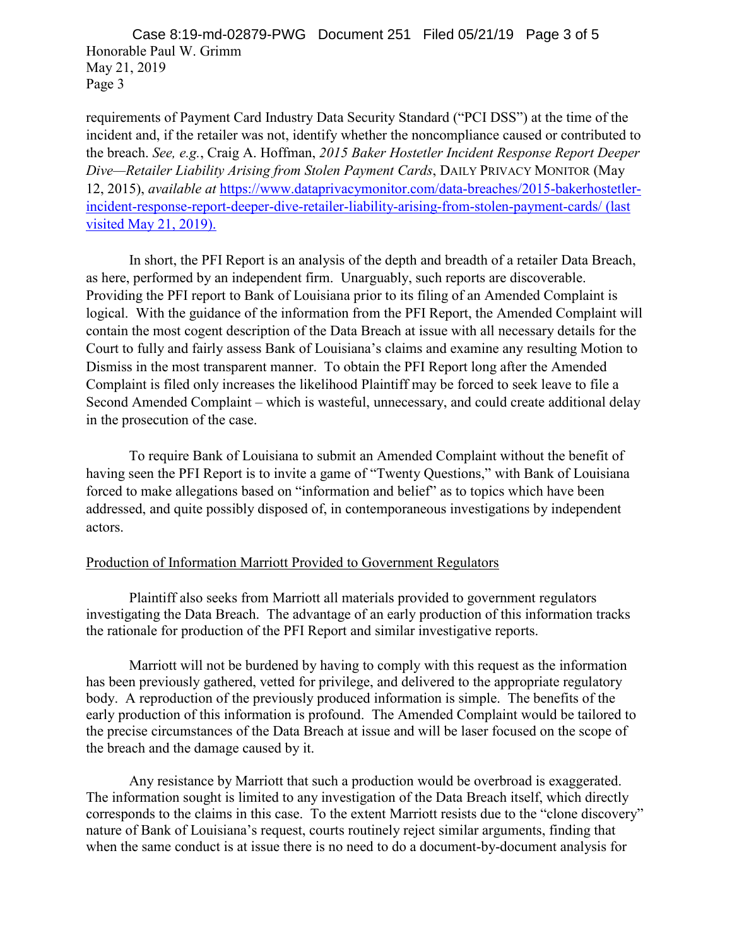Honorable Paul W. Grimm May 21, 2019 Page 3 Case 8:19-md-02879-PWG Document 251 Filed 05/21/19 Page 3 of 5

requirements of Payment Card Industry Data Security Standard ("PCI DSS") at the time of the incident and, if the retailer was not, identify whether the noncompliance caused or contributed to the breach. *See, e.g.*, Craig A. Hoffman, *2015 Baker Hostetler Incident Response Report Deeper Dive—Retailer Liability Arising from Stolen Payment Cards*, DAILY PRIVACY MONITOR (May 12, 2015), *available at* [https://www.dataprivacymonitor.com/data-breaches/2015-bakerhostetler](https://www.dataprivacymonitor.com/data-breaches/2015-bakerhostetler-incident-response-report-deeper-dive-retailer-liability-arising-from-stolen-payment-cards/)[incident-response-report-deeper-dive-retailer-liability-arising-from-stolen-payment-cards/](https://www.dataprivacymonitor.com/data-breaches/2015-bakerhostetler-incident-response-report-deeper-dive-retailer-liability-arising-from-stolen-payment-cards/) (last visited May 21, 2019).

In short, the PFI Report is an analysis of the depth and breadth of a retailer Data Breach, as here, performed by an independent firm. Unarguably, such reports are discoverable. Providing the PFI report to Bank of Louisiana prior to its filing of an Amended Complaint is logical. With the guidance of the information from the PFI Report, the Amended Complaint will contain the most cogent description of the Data Breach at issue with all necessary details for the Court to fully and fairly assess Bank of Louisiana's claims and examine any resulting Motion to Dismiss in the most transparent manner. To obtain the PFI Report long after the Amended Complaint is filed only increases the likelihood Plaintiff may be forced to seek leave to file a Second Amended Complaint – which is wasteful, unnecessary, and could create additional delay in the prosecution of the case.

To require Bank of Louisiana to submit an Amended Complaint without the benefit of having seen the PFI Report is to invite a game of "Twenty Questions," with Bank of Louisiana forced to make allegations based on "information and belief" as to topics which have been addressed, and quite possibly disposed of, in contemporaneous investigations by independent actors.

#### Production of Information Marriott Provided to Government Regulators

Plaintiff also seeks from Marriott all materials provided to government regulators investigating the Data Breach. The advantage of an early production of this information tracks the rationale for production of the PFI Report and similar investigative reports.

Marriott will not be burdened by having to comply with this request as the information has been previously gathered, vetted for privilege, and delivered to the appropriate regulatory body. A reproduction of the previously produced information is simple. The benefits of the early production of this information is profound. The Amended Complaint would be tailored to the precise circumstances of the Data Breach at issue and will be laser focused on the scope of the breach and the damage caused by it.

Any resistance by Marriott that such a production would be overbroad is exaggerated. The information sought is limited to any investigation of the Data Breach itself, which directly corresponds to the claims in this case. To the extent Marriott resists due to the "clone discovery" nature of Bank of Louisiana's request, courts routinely reject similar arguments, finding that when the same conduct is at issue there is no need to do a document-by-document analysis for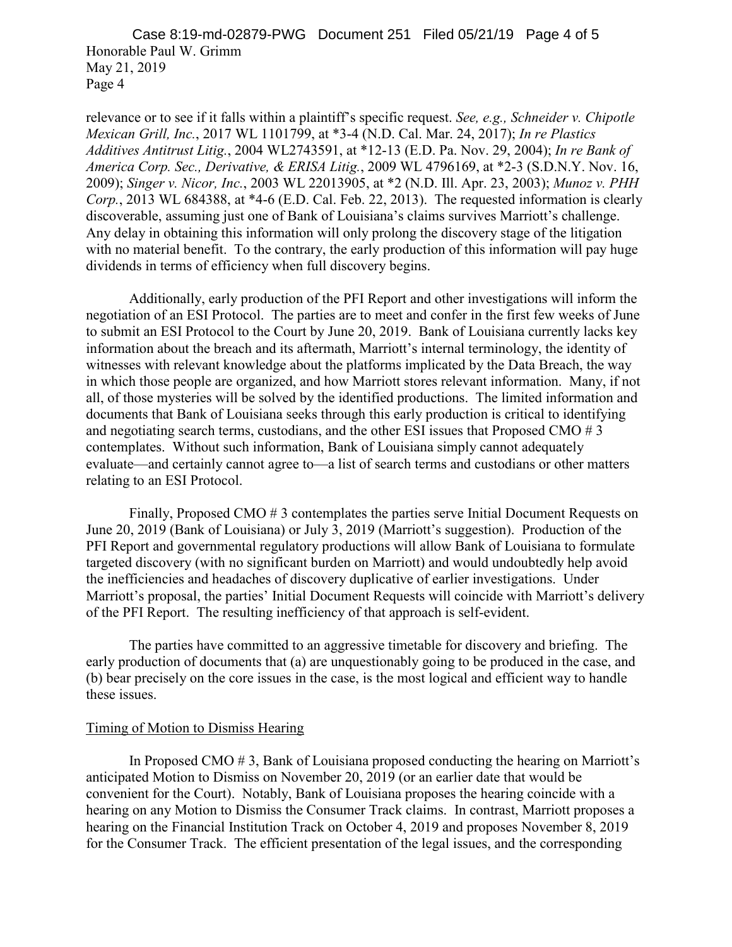Honorable Paul W. Grimm May 21, 2019 Page 4 Case 8:19-md-02879-PWG Document 251 Filed 05/21/19 Page 4 of 5

relevance or to see if it falls within a plaintiff's specific request. *See, e.g., Schneider v. Chipotle Mexican Grill, Inc.*, 2017 WL 1101799, at \*3-4 (N.D. Cal. Mar. 24, 2017); *In re Plastics Additives Antitrust Litig.*, 2004 WL2743591, at \*12-13 (E.D. Pa. Nov. 29, 2004); *In re Bank of America Corp. Sec., Derivative, & ERISA Litig.*, 2009 WL 4796169, at \*2-3 (S.D.N.Y. Nov. 16, 2009); *Singer v. Nicor, Inc.*, 2003 WL 22013905, at \*2 (N.D. Ill. Apr. 23, 2003); *Munoz v. PHH Corp.*, 2013 WL 684388, at \*4-6 (E.D. Cal. Feb. 22, 2013). The requested information is clearly discoverable, assuming just one of Bank of Louisiana's claims survives Marriott's challenge. Any delay in obtaining this information will only prolong the discovery stage of the litigation with no material benefit. To the contrary, the early production of this information will pay huge dividends in terms of efficiency when full discovery begins.

Additionally, early production of the PFI Report and other investigations will inform the negotiation of an ESI Protocol. The parties are to meet and confer in the first few weeks of June to submit an ESI Protocol to the Court by June 20, 2019. Bank of Louisiana currently lacks key information about the breach and its aftermath, Marriott's internal terminology, the identity of witnesses with relevant knowledge about the platforms implicated by the Data Breach, the way in which those people are organized, and how Marriott stores relevant information. Many, if not all, of those mysteries will be solved by the identified productions. The limited information and documents that Bank of Louisiana seeks through this early production is critical to identifying and negotiating search terms, custodians, and the other ESI issues that Proposed CMO # 3 contemplates. Without such information, Bank of Louisiana simply cannot adequately evaluate—and certainly cannot agree to—a list of search terms and custodians or other matters relating to an ESI Protocol.

Finally, Proposed CMO # 3 contemplates the parties serve Initial Document Requests on June 20, 2019 (Bank of Louisiana) or July 3, 2019 (Marriott's suggestion). Production of the PFI Report and governmental regulatory productions will allow Bank of Louisiana to formulate targeted discovery (with no significant burden on Marriott) and would undoubtedly help avoid the inefficiencies and headaches of discovery duplicative of earlier investigations. Under Marriott's proposal, the parties' Initial Document Requests will coincide with Marriott's delivery of the PFI Report. The resulting inefficiency of that approach is self-evident.

The parties have committed to an aggressive timetable for discovery and briefing. The early production of documents that (a) are unquestionably going to be produced in the case, and (b) bear precisely on the core issues in the case, is the most logical and efficient way to handle these issues.

#### Timing of Motion to Dismiss Hearing

In Proposed CMO # 3, Bank of Louisiana proposed conducting the hearing on Marriott's anticipated Motion to Dismiss on November 20, 2019 (or an earlier date that would be convenient for the Court). Notably, Bank of Louisiana proposes the hearing coincide with a hearing on any Motion to Dismiss the Consumer Track claims. In contrast, Marriott proposes a hearing on the Financial Institution Track on October 4, 2019 and proposes November 8, 2019 for the Consumer Track. The efficient presentation of the legal issues, and the corresponding